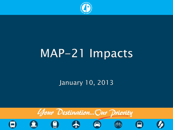

# MAP-21 Impacts

#### January 10, 2013

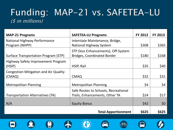#### Funding: MAP-21 vs. SAFETEA-LU  $(s$  in millions)

| <b>MAP-21 Programs</b>                                 | <b>SAFETEA-LU Programs</b>                                                | <b>FY 2012</b> | <b>FY 2013</b> |
|--------------------------------------------------------|---------------------------------------------------------------------------|----------------|----------------|
| <b>National Highway Performance</b>                    | Interstate Maintenance, Bridge,                                           |                |                |
| Program (NHPP)                                         | National Highway System                                                   | \$308          | \$365          |
| Surface Transportation Program (STP)                   | STP (less Enhancements), Off-System<br><b>Bridges, Coordinated Border</b> | \$180          | \$168          |
| Highway Safety Improvement Program<br>(HSIP)           | HSIP, Rail                                                                | \$35           | \$40           |
| <b>Congestion Mitigation and Air Quality</b><br>(CMAQ) | <b>CMAQ</b>                                                               | \$32           | \$31           |
|                                                        |                                                                           |                |                |
| <b>Metropolitan Planning</b>                           | <b>Metropolitan Planning</b>                                              | \$4            | \$4            |
| Transportation Alternatives (TA)                       | Safe Routes to Schools, Recreational<br>Trails, Enhancements, Other TA    | \$24           | \$17           |
| N/A                                                    | <b>Equity Bonus</b>                                                       | \$42           | \$0            |
|                                                        | <b>Total Apportionment</b>                                                | \$625          | \$625          |













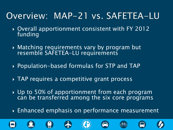#### Overview: MAP-21 vs. SAFETEA-LU

- Overall apportionment consistent with FY 2012 funding
- Matching requirements vary by program but resemble SAFETEA-LU requirements
- Population-based formulas for STP and TAP
- TAP requires a competitive grant process
- ▶ Up to 50% of apportionment from each program can be transferred among the six core programs
- **Enhanced emphasis on performance measurement**

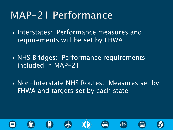## MAP-21 Performance

**Interstates: Performance measures and** requirements will be set by FHWA

 NHS Bridges: Performance requirements included in MAP-21

▶ Non-Interstate NHS Routes: Measures set by FHWA and targets set by each state

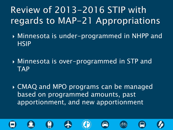### Review of 2013-2016 STIP with regards to MAP-21 Appropriations

- Minnesota is under-programmed in NHPP and **HSIP**
- Minnesota is over-programmed in STP and TAP
- CMAQ and MPO programs can be managed based on programmed amounts, past apportionment, and new apportionment

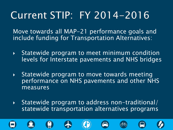## Current STIP: FY 2014-2016

Move towards all MAP-21 performance goals and include funding for Transportation Alternatives:

- Statewide program to meet minimum condition levels for Interstate pavements and NHS bridges
- ▶ Statewide program to move towards meeting performance on NHS pavements and other NHS measures
- $\triangleright$  Statewide program to address non-traditional/ statewide transportation alternatives programs











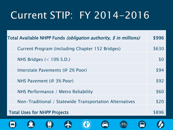## Current STIP: FY 2014-2016

| Total Available NHPP Funds <i>(obligation authority, \$ in millions)</i> |       |
|--------------------------------------------------------------------------|-------|
| Current Program (including Chapter 152 Bridges)                          |       |
| NHS Bridges $(< 10\%$ S.D.)                                              |       |
| Interstate Pavements (@ 2% Poor)                                         |       |
| NHS Pavement (@ 3% Poor)                                                 |       |
| NHS Performance / Metro Reliability                                      |       |
| Non-Traditional / Statewide Transportation Alternatives                  |       |
| <b>Total Uses for NHPP Projects</b>                                      | \$896 |
|                                                                          |       |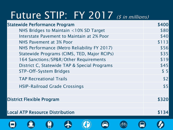# Future STIP: FY 2017 (\$ in millions)

| <b>Statewide Performance Program</b>         | \$400       |
|----------------------------------------------|-------------|
| NHS Bridges to Maintain <10% SD Target       | \$80        |
| Interstate Pavement to Maintain at 2% Poor   | \$40        |
| NHS Pavement at 3% Poor                      | \$113       |
| NHS Performance (Metro Reliability FY 2017)  | \$56        |
| Statewide Programs (CIMS, TED, Major RCIPs)  | \$35        |
| 164 Sanctions/SP&R/Other Requirements        | \$19        |
| District C, Statewide TAP & Special Programs | \$45        |
| STP-Off-System Bridges                       | \$5         |
| <b>TAP Recreational Trails</b>               | \$2         |
| <b>HSIP-Railroad Grade Crossings</b>         | \$5         |
| <b>District Flexible Program</b>             | \$320       |
| <b>Local ATP Resource Distribution</b>       | <b>S134</b> |
|                                              |             |

W

 $\cdot$   $\cdot$ 

W